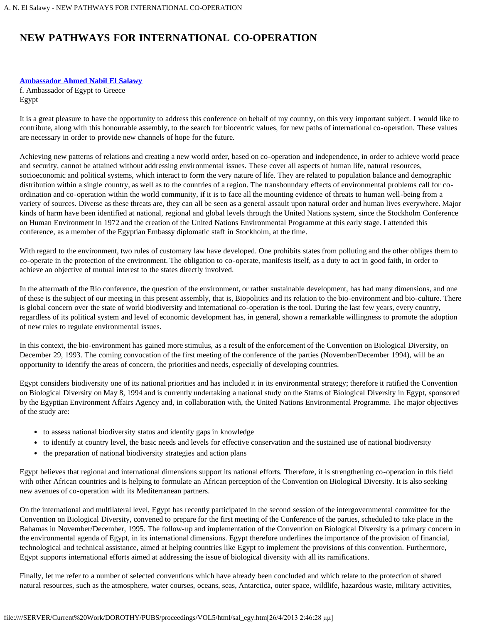## **NEW PATHWAYS FOR INTERNATIONAL CO-OPERATION**

## **[Ambassador Ahmed Nabil El Salawy](#page-1-0)**

f. Ambassador of Egypt to Greece Egypt

It is a great pleasure to have the opportunity to address this conference on behalf of my country, on this very important subject. I would like to contribute, along with this honourable assembly, to the search for biocentric values, for new paths of international co-operation. These values are necessary in order to provide new channels of hope for the future.

Achieving new patterns of relations and creating a new world order, based on co-operation and independence, in order to achieve world peace and security, cannot be attained without addressing environmental issues. These cover all aspects of human life, natural resources, socioeconomic and political systems, which interact to form the very nature of life. They are related to population balance and demographic distribution within a single country, as well as to the countries of a region. The transboundary effects of environmental problems call for coordination and co-operation within the world community, if it is to face all the mounting evidence of threats to human well-being from a variety of sources. Diverse as these threats are, they can all be seen as a general assault upon natural order and human lives everywhere. Major kinds of harm have been identified at national, regional and global levels through the United Nations system, since the Stockholm Conference on Human Environment in 1972 and the creation of the United Nations Environmental Programme at this early stage. I attended this conference, as a member of the Egyptian Embassy diplomatic staff in Stockholm, at the time.

With regard to the environment, two rules of customary law have developed. One prohibits states from polluting and the other obliges them to co-operate in the protection of the environment. The obligation to co-operate, manifests itself, as a duty to act in good faith, in order to achieve an objective of mutual interest to the states directly involved.

In the aftermath of the Rio conference, the question of the environment, or rather sustainable development, has had many dimensions, and one of these is the subject of our meeting in this present assembly, that is, Biopolitics and its relation to the bio-environment and bio-culture. There is global concern over the state of world biodiversity and international co-operation is the tool. During the last few years, every country, regardless of its political system and level of economic development has, in general, shown a remarkable willingness to promote the adoption of new rules to regulate environmental issues.

In this context, the bio-environment has gained more stimulus, as a result of the enforcement of the Convention on Biological Diversity, on December 29, 1993. The coming convocation of the first meeting of the conference of the parties (November/December 1994), will be an opportunity to identify the areas of concern, the priorities and needs, especially of developing countries.

Egypt considers biodiversity one of its national priorities and has included it in its environmental strategy; therefore it ratified the Convention on Biological Diversity on May 8, 1994 and is currently undertaking a national study on the Status of Biological Diversity in Egypt, sponsored by the Egyptian Environment Affairs Agency and, in collaboration with, the United Nations Environmental Programme. The major objectives of the study are:

- to assess national biodiversity status and identify gaps in knowledge
- to identify at country level, the basic needs and levels for effective conservation and the sustained use of national biodiversity
- the preparation of national biodiversity strategies and action plans

Egypt believes that regional and international dimensions support its national efforts. Therefore, it is strengthening co-operation in this field with other African countries and is helping to formulate an African perception of the Convention on Biological Diversity. It is also seeking new avenues of co-operation with its Mediterranean partners.

On the international and multilateral level, Egypt has recently participated in the second session of the intergovernmental committee for the Convention on Biological Diversity, convened to prepare for the first meeting of the Conference of the parties, scheduled to take place in the Bahamas in November/December, 1995. The follow-up and implementation of the Convention on Biological Diversity is a primary concern in the environmental agenda of Egypt, in its international dimensions. Egypt therefore underlines the importance of the provision of financial, technological and technical assistance, aimed at helping countries like Egypt to implement the provisions of this convention. Furthermore, Egypt supports international efforts aimed at addressing the issue of biological diversity with all its ramifications.

Finally, let me refer to a number of selected conventions which have already been concluded and which relate to the protection of shared natural resources, such as the atmosphere, water courses, oceans, seas, Antarctica, outer space, wildlife, hazardous waste, military activities,